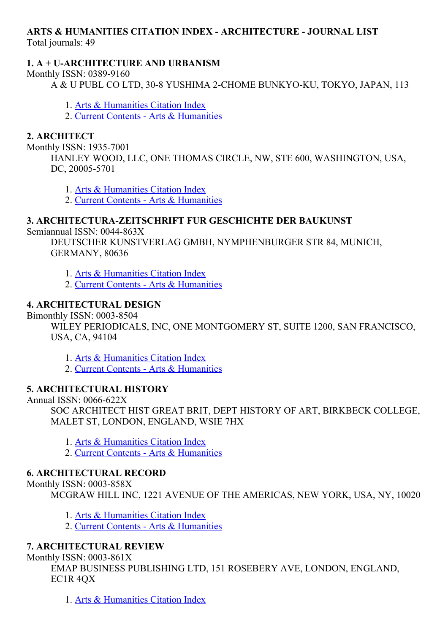# ARTS & HUMANITIES CITATION INDEX ARCHITECTURE JOURNAL LIST

Total journals: 49

### 1. A + U-ARCHITECTURE AND URBANISM

Monthly ISSN: 0389-9160

A & U PUBL CO LTD, 30-8 YUSHIMA 2-CHOME BUNKYO-KU, TOKYO, JAPAN, 113

- 1. Arts & [Humanities](http://thomsonreuters.com/arts-humanities-citation-index) Citation Index
- 2. Current Contents Arts & [Humanities](http://thomsonreuters.com/current-contents-connect)

### 2. ARCHITECT

Monthly ISSN: 1935-7001

HANLEY WOOD, LLC, ONE THOMAS CIRCLE, NW, STE 600, WASHINGTON, USA, DC, 20005-5701

1. Arts & [Humanities](http://thomsonreuters.com/arts-humanities-citation-index) Citation Index

2. Current Contents Arts & [Humanities](http://thomsonreuters.com/current-contents-connect)

## 3. ARCHITECTURAZEITSCHRIFT FUR GESCHICHTE DER BAUKUNST

Semiannual ISSN: 0044-863X

DEUTSCHER KUNSTVERLAG GMBH, NYMPHENBURGER STR 84, MUNICH, GERMANY, 80636

- 1. Arts & [Humanities](http://thomsonreuters.com/arts-humanities-citation-index) Citation Index
- 2. Current Contents Arts & [Humanities](http://thomsonreuters.com/current-contents-connect)

## 4. ARCHITECTURAL DESIGN

Bimonthly ISSN: 0003-8504

WILEY PERIODICALS, INC, ONE MONTGOMERY ST, SUITE 1200, SAN FRANCISCO, USA, CA, 94104

1. Arts & [Humanities](http://thomsonreuters.com/arts-humanities-citation-index) Citation Index

2. Current Contents - Arts & [Humanities](http://thomsonreuters.com/current-contents-connect)

### 5. ARCHITECTURAL HISTORY

Annual ISSN: 0066-622X

SOC ARCHITECT HIST GREAT BRIT, DEPT HISTORY OF ART, BIRKBECK COLLEGE, MALET ST, LONDON, ENGLAND, WSIE 7HX

- 1. Arts & [Humanities](http://thomsonreuters.com/arts-humanities-citation-index) Citation Index
- 2. Current Contents Arts & [Humanities](http://thomsonreuters.com/current-contents-connect)

### 6. ARCHITECTURAL RECORD

Monthly ISSN: 0003-858X

MCGRAW HILL INC, 1221 AVENUE OF THE AMERICAS, NEW YORK, USA, NY, 10020

- 1. Arts & [Humanities](http://thomsonreuters.com/arts-humanities-citation-index) Citation Index
- 2. Current Contents Arts & [Humanities](http://thomsonreuters.com/current-contents-connect)

# 7. ARCHITECTURAL REVIEW

Monthly ISSN:  $0003-861X$ 

EMAP BUSINESS PUBLISHING LTD, 151 ROSEBERY AVE, LONDON, ENGLAND, EC1R 4QX

1. Arts & [Humanities](http://thomsonreuters.com/arts-humanities-citation-index) Citation Index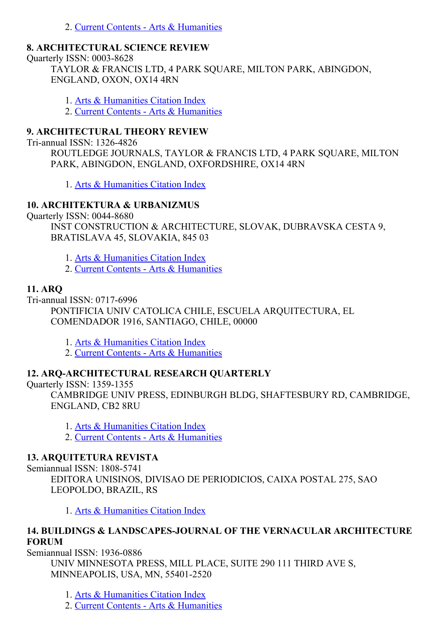2. Current Contents - Arts & [Humanities](http://thomsonreuters.com/current-contents-connect)

#### 8. ARCHITECTURAL SCIENCE REVIEW

Quarterly ISSN: 0003-8628

TAYLOR & FRANCIS LTD, 4 PARK SQUARE, MILTON PARK, ABINGDON, ENGLAND, OXON, OX14 4RN

1. Arts & [Humanities](http://thomsonreuters.com/arts-humanities-citation-index) Citation Index

2. Current Contents Arts & [Humanities](http://thomsonreuters.com/current-contents-connect)

#### 9. ARCHITECTURAL THEORY REVIEW

Tri-annual ISSN: 1326-4826

ROUTLEDGE JOURNALS, TAYLOR & FRANCIS LTD, 4 PARK SQUARE, MILTON PARK, ABINGDON, ENGLAND, OXFORDSHIRE, OX14 4RN

1. Arts & [Humanities](http://thomsonreuters.com/arts-humanities-citation-index) Citation Index

### 10. ARCHITEKTURA & URBANIZMUS

Quarterly ISSN: 0044-8680

INST CONSTRUCTION & ARCHITECTURE, SLOVAK, DUBRAVSKA CESTA 9, BRATISLAVA 45, SLOVAKIA, 845 03

1. Arts & [Humanities](http://thomsonreuters.com/arts-humanities-citation-index) Citation Index

2. Current Contents - Arts & [Humanities](http://thomsonreuters.com/current-contents-connect)

### 11. ARQ

Tri-annual ISSN: 0717-6996

PONTIFICIA UNIV CATOLICA CHILE, ESCUELA ARQUITECTURA, EL COMENDADOR 1916, SANTIAGO, CHILE, 00000

1. Arts & [Humanities](http://thomsonreuters.com/arts-humanities-citation-index) Citation Index

2. Current Contents - Arts & [Humanities](http://thomsonreuters.com/current-contents-connect)

#### 12. ARQ-ARCHITECTURAL RESEARCH QUARTERLY

Quarterly ISSN: 1359-1355

CAMBRIDGE UNIV PRESS, EDINBURGH BLDG, SHAFTESBURY RD, CAMBRIDGE, ENGLAND, CB2 8RU

1. Arts & [Humanities](http://thomsonreuters.com/arts-humanities-citation-index) Citation Index

2. Current Contents - Arts & [Humanities](http://thomsonreuters.com/current-contents-connect)

#### 13. ARQUITETURA REVISTA

Semiannual ISSN: 1808-5741 EDITORA UNISINOS, DIVISAO DE PERIODICIOS, CAIXA POSTAL 275, SAO LEOPOLDO, BRAZIL, RS

1. Arts & [Humanities](http://thomsonreuters.com/arts-humanities-citation-index) Citation Index

### 14. BUILDINGS & LANDSCAPES-JOURNAL OF THE VERNACULAR ARCHITECTURE FORUM

Semiannual ISSN: 1936-0886

UNIV MINNESOTA PRESS, MILL PLACE, SUITE 290 111 THIRD AVE S, MINNEAPOLIS, USA, MN, 55401-2520

1. Arts & [Humanities](http://thomsonreuters.com/arts-humanities-citation-index) Citation Index

2. Current Contents - Arts & [Humanities](http://thomsonreuters.com/current-contents-connect)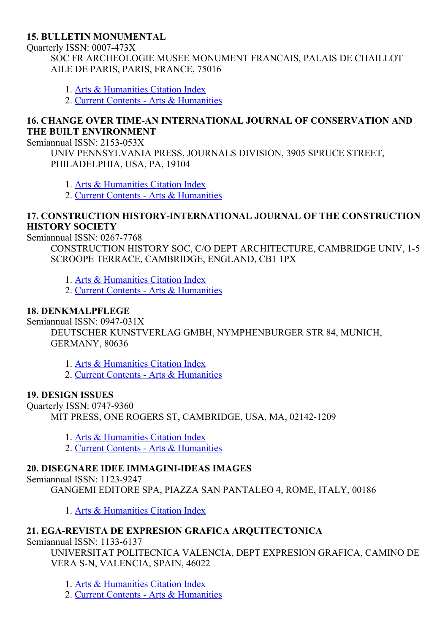#### 15. BULLETIN MONUMENTAL

Ouarterly ISSN: 0007-473X

SOC FR ARCHEOLOGIE MUSEE MONUMENT FRANCAIS, PALAIS DE CHAILLOT AILE DE PARIS, PARIS, FRANCE, 75016

- 1. Arts & [Humanities](http://thomsonreuters.com/arts-humanities-citation-index) Citation Index
- 2. Current Contents Arts & [Humanities](http://thomsonreuters.com/current-contents-connect)

#### 16. CHANGE OVER TIMEAN INTERNATIONAL JOURNAL OF CONSERVATION AND THE BUILT ENVIRONMENT

Semiannual ISSN: 2153-053X

UNIV PENNSYLVANIA PRESS, JOURNALS DIVISION, 3905 SPRUCE STREET, PHILADELPHIA, USA, PA, 19104

- 1. Arts & [Humanities](http://thomsonreuters.com/arts-humanities-citation-index) Citation Index
- 2. Current Contents Arts & [Humanities](http://thomsonreuters.com/current-contents-connect)

#### 17. CONSTRUCTION HISTORY-INTERNATIONAL JOURNAL OF THE CONSTRUCTION HISTORY SOCIETY

Semiannual ISSN: 0267-7768

CONSTRUCTION HISTORY SOC, C/O DEPT ARCHITECTURE, CAMBRIDGE UNIV, 1-5 SCROOPE TERRACE, CAMBRIDGE, ENGLAND, CB1 1PX

1. Arts & [Humanities](http://thomsonreuters.com/arts-humanities-citation-index) Citation Index

2. Current Contents - Arts & [Humanities](http://thomsonreuters.com/current-contents-connect)

#### 18. DENKMALPFLEGE

Semiannual ISSN:  $0947-031X$ 

DEUTSCHER KUNSTVERLAG GMBH, NYMPHENBURGER STR 84, MUNICH, GERMANY, 80636

1. Arts & [Humanities](http://thomsonreuters.com/arts-humanities-citation-index) Citation Index

2. Current Contents - Arts & [Humanities](http://thomsonreuters.com/current-contents-connect)

#### 19. DESIGN ISSUES

Ouarterly ISSN: 0747-9360 MIT PRESS, ONE ROGERS ST, CAMBRIDGE, USA, MA, 02142-1209

- 1. Arts & [Humanities](http://thomsonreuters.com/arts-humanities-citation-index) Citation Index
- 2. Current Contents Arts & [Humanities](http://thomsonreuters.com/current-contents-connect)

#### 20. DISEGNARE IDEE IMMAGINI-IDEAS IMAGES

Semiannual ISSN: 1123-9247

GANGEMI EDITORE SPA, PIAZZA SAN PANTALEO 4, ROME, ITALY, 00186

1. Arts & [Humanities](http://thomsonreuters.com/arts-humanities-citation-index) Citation Index

### 21. EGA-REVISTA DE EXPRESION GRAFICA ARQUITECTONICA

Semiannual ISSN: 1133-6137

UNIVERSITAT POLITECNICA VALENCIA, DEPT EXPRESION GRAFICA, CAMINO DE VERA S-N, VALENCIA, SPAIN, 46022

1. Arts & [Humanities](http://thomsonreuters.com/arts-humanities-citation-index) Citation Index

2. Current Contents - Arts & [Humanities](http://thomsonreuters.com/current-contents-connect)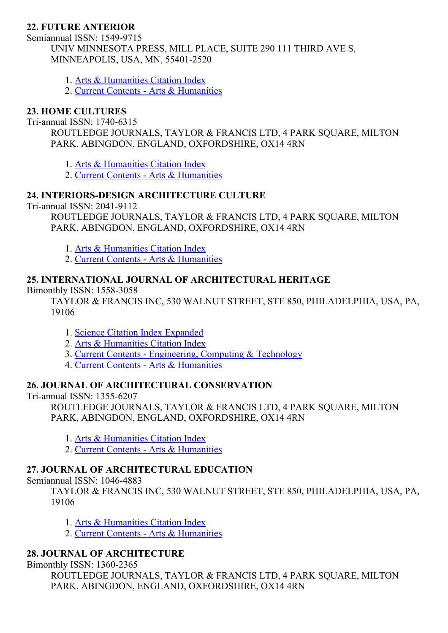### 22. FUTURE ANTERIOR

Semiannual ISSN: 1549-9715 UNIV MINNESOTA PRESS, MILL PLACE, SUITE 290 111 THIRD AVE S, MINNEAPOLIS, USA, MN, 55401-2520

- 1. Arts & [Humanities](http://thomsonreuters.com/arts-humanities-citation-index) Citation Index
- 2. Current Contents Arts & [Humanities](http://thomsonreuters.com/current-contents-connect)

### 23. HOME CULTURES

Tri-annual ISSN: 1740-6315

ROUTLEDGE JOURNALS, TAYLOR & FRANCIS LTD, 4 PARK SQUARE, MILTON PARK, ABINGDON, ENGLAND, OXFORDSHIRE, OX14 4RN

1. Arts & [Humanities](http://thomsonreuters.com/arts-humanities-citation-index) Citation Index

2. Current Contents - Arts & [Humanities](http://thomsonreuters.com/current-contents-connect)

#### 24. INTERIORS-DESIGN ARCHITECTURE CULTURE

Tri-annual ISSN: 2041-9112

ROUTLEDGE JOURNALS, TAYLOR & FRANCIS LTD, 4 PARK SQUARE, MILTON PARK, ABINGDON, ENGLAND, OXFORDSHIRE, OX14 4RN

1. Arts & [Humanities](http://thomsonreuters.com/arts-humanities-citation-index) Citation Index

2. Current Contents - Arts & [Humanities](http://thomsonreuters.com/current-contents-connect)

#### 25. INTERNATIONAL JOURNAL OF ARCHITECTURAL HERITAGE

Bimonthly ISSN: 1558-3058

TAYLOR & FRANCIS INC, 530 WALNUT STREET, STE 850, PHILADELPHIA, USA, PA, 19106

- 1. Science Citation Index [Expanded](http://thomsonreuters.com/science-citation-index-expanded)
- 2. Arts & [Humanities](http://thomsonreuters.com/arts-humanities-citation-index) Citation Index
- 3. Current Contents [Engineering,](http://thomsonreuters.com/current-contents-connect) Computing & Technology
- 4. Current Contents Arts & [Humanities](http://thomsonreuters.com/current-contents-connect)

### 26. JOURNAL OF ARCHITECTURAL CONSERVATION

Tri-annual ISSN: 1355-6207

ROUTLEDGE JOURNALS, TAYLOR & FRANCIS LTD, 4 PARK SQUARE, MILTON PARK, ABINGDON, ENGLAND, OXFORDSHIRE, OX14 4RN

- 1. Arts & [Humanities](http://thomsonreuters.com/arts-humanities-citation-index) Citation Index
- 2. Current Contents Arts & [Humanities](http://thomsonreuters.com/current-contents-connect)

#### 27. JOURNAL OF ARCHITECTURAL EDUCATION

Semiannual ISSN: 1046-4883

TAYLOR & FRANCIS INC, 530 WALNUT STREET, STE 850, PHILADELPHIA, USA, PA, 19106

- 1. Arts & [Humanities](http://thomsonreuters.com/arts-humanities-citation-index) Citation Index
- 2. Current Contents Arts & [Humanities](http://thomsonreuters.com/current-contents-connect)

### 28. JOURNAL OF ARCHITECTURE

Bimonthly ISSN: 1360-2365

ROUTLEDGE JOURNALS, TAYLOR & FRANCIS LTD, 4 PARK SQUARE, MILTON PARK, ABINGDON, ENGLAND, OXFORDSHIRE, OX14 4RN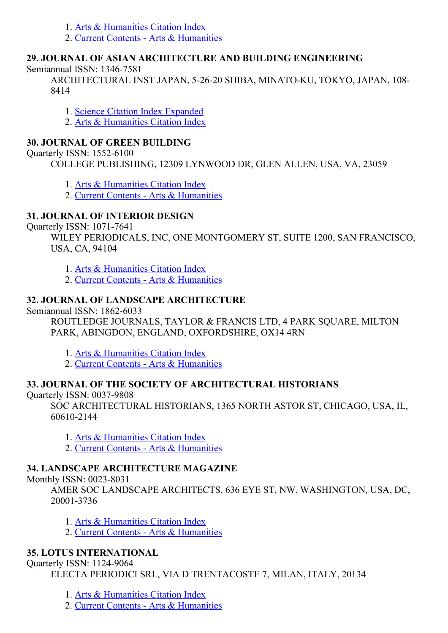- 1. Arts & [Humanities](http://thomsonreuters.com/arts-humanities-citation-index) Citation Index
- 2. Current Contents Arts & [Humanities](http://thomsonreuters.com/current-contents-connect)

### 29. JOURNAL OF ASIAN ARCHITECTURE AND BUILDING ENGINEERING

Semiannual ISSN: 1346-7581

ARCHITECTURAL INST JAPAN, 5-26-20 SHIBA, MINATO-KU, TOKYO, JAPAN, 108-8414

1. Science Citation Index [Expanded](http://thomsonreuters.com/science-citation-index-expanded)

2. Arts & [Humanities](http://thomsonreuters.com/arts-humanities-citation-index) Citation Index

# 30. JOURNAL OF GREEN BUILDING

Quarterly ISSN:  $1552-6100$ 

COLLEGE PUBLISHING, 12309 LYNWOOD DR, GLEN ALLEN, USA, VA, 23059

- 1. Arts & [Humanities](http://thomsonreuters.com/arts-humanities-citation-index) Citation Index
- 2. Current Contents Arts & [Humanities](http://thomsonreuters.com/current-contents-connect)

# 31. JOURNAL OF INTERIOR DESIGN

Quarterly ISSN: 1071-7641

WILEY PERIODICALS, INC, ONE MONTGOMERY ST, SUITE 1200, SAN FRANCISCO, USA, CA, 94104

- 1. Arts & [Humanities](http://thomsonreuters.com/arts-humanities-citation-index) Citation Index
- 2. Current Contents Arts & [Humanities](http://thomsonreuters.com/current-contents-connect)

# 32. JOURNAL OF LANDSCAPE ARCHITECTURE

Semiannual ISSN: 1862-6033

ROUTLEDGE JOURNALS, TAYLOR & FRANCIS LTD, 4 PARK SQUARE, MILTON PARK, ABINGDON, ENGLAND, OXFORDSHIRE, OX14 4RN

- 1. Arts & [Humanities](http://thomsonreuters.com/arts-humanities-citation-index) Citation Index
- 2. Current Contents Arts & [Humanities](http://thomsonreuters.com/current-contents-connect)

# 33. JOURNAL OF THE SOCIETY OF ARCHITECTURAL HISTORIANS

Quarterly ISSN: 0037-9808

SOC ARCHITECTURAL HISTORIANS, 1365 NORTH ASTOR ST, CHICAGO, USA, IL, 606102144

- 1. Arts & [Humanities](http://thomsonreuters.com/arts-humanities-citation-index) Citation Index
- 2. Current Contents Arts & [Humanities](http://thomsonreuters.com/current-contents-connect)

# 34. LANDSCAPE ARCHITECTURE MAGAZINE

Monthly ISSN: 0023-8031

AMER SOC LANDSCAPE ARCHITECTS, 636 EYE ST, NW, WASHINGTON, USA, DC, 200013736

- 1. Arts & [Humanities](http://thomsonreuters.com/arts-humanities-citation-index) Citation Index
- 2. Current Contents Arts & [Humanities](http://thomsonreuters.com/current-contents-connect)

# 35. LOTUS INTERNATIONAL

Ouarterly ISSN: 1124-9064

ELECTA PERIODICI SRL, VIA D TRENTACOSTE 7, MILAN, ITALY, 20134

- 1. Arts & [Humanities](http://thomsonreuters.com/arts-humanities-citation-index) Citation Index
- 2. Current Contents Arts & [Humanities](http://thomsonreuters.com/current-contents-connect)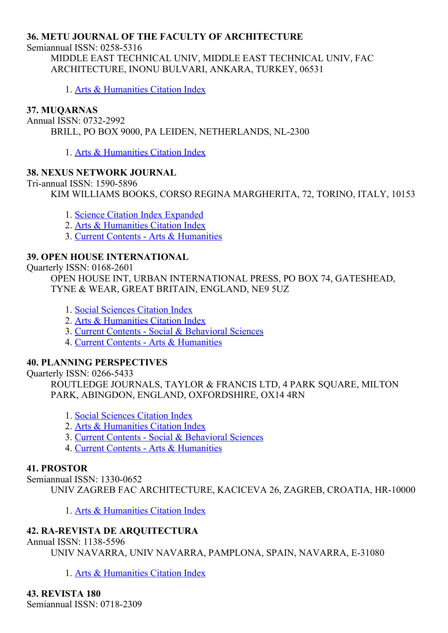#### 36. METU JOURNAL OF THE FACULTY OF ARCHITECTURE

Semiannual ISSN: 0258-5316

MIDDLE EAST TECHNICAL UNIV, MIDDLE EAST TECHNICAL UNIV, FAC ARCHITECTURE, INONU BULVARI, ANKARA, TURKEY, 06531

1. Arts & [Humanities](http://thomsonreuters.com/arts-humanities-citation-index) Citation Index

#### 37. MUQARNAS

Annual ISSN: 0732-2992 BRILL, PO BOX 9000, PA LEIDEN, NETHERLANDS, NL-2300

1. Arts & [Humanities](http://thomsonreuters.com/arts-humanities-citation-index) Citation Index

#### 38. NEXUS NETWORK JOURNAL

Tri-annual ISSN: 1590-5896

KIM WILLIAMS BOOKS, CORSO REGINA MARGHERITA, 72, TORINO, ITALY, 10153

- 1. Science Citation Index [Expanded](http://thomsonreuters.com/science-citation-index-expanded)
- 2. Arts & [Humanities](http://thomsonreuters.com/arts-humanities-citation-index) Citation Index
- 3. Current Contents Arts & [Humanities](http://thomsonreuters.com/current-contents-connect)

#### 39. OPEN HOUSE INTERNATIONAL

Quarterly ISSN: 0168-2601

OPEN HOUSE INT, URBAN INTERNATIONAL PRESS, PO BOX 74, GATESHEAD, TYNE & WEAR, GREAT BRITAIN, ENGLAND, NE9 5UZ

- 1. Social [Sciences](http://thomsonreuters.com/social-sciences-citation-index) Citation Index
- 2. Arts & [Humanities](http://thomsonreuters.com/arts-humanities-citation-index) Citation Index
- 3. Current Contents Social & [Behavioral](http://thomsonreuters.com/current-contents-connect/) Sciences
- 4. Current Contents Arts & [Humanities](http://thomsonreuters.com/current-contents-connect)

#### 40. PLANNING PERSPECTIVES

Quarterly ISSN: 0266-5433

ROUTLEDGE JOURNALS, TAYLOR & FRANCIS LTD, 4 PARK SQUARE, MILTON PARK, ABINGDON, ENGLAND, OXFORDSHIRE, OX14 4RN

- 1. Social [Sciences](http://thomsonreuters.com/social-sciences-citation-index) Citation Index
- 2. Arts & [Humanities](http://thomsonreuters.com/arts-humanities-citation-index) Citation Index
- 3. Current Contents Social & [Behavioral](http://thomsonreuters.com/current-contents-connect/) Sciences
- 4. Current Contents Arts & [Humanities](http://thomsonreuters.com/current-contents-connect)

#### 41. PROSTOR

Semiannual ISSN: 1330-0652

UNIV ZAGREB FAC ARCHITECTURE, KACICEVA 26, ZAGREB, CROATIA, HR10000

1. Arts & [Humanities](http://thomsonreuters.com/arts-humanities-citation-index) Citation Index

#### 42. RA-REVISTA DE ARQUITECTURA

#### Annual ISSN: 1138-5596

UNIV NAVARRA, UNIV NAVARRA, PAMPLONA, SPAIN, NAVARRA, E-31080

1. Arts & [Humanities](http://thomsonreuters.com/arts-humanities-citation-index) Citation Index

43. REVISTA 180 Semiannual ISSN: 0718-2309